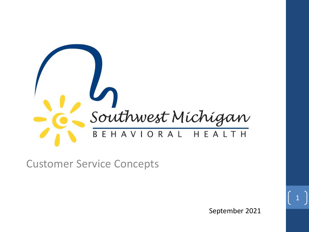

Customer Service Concepts

September 2021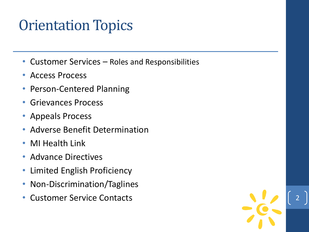#### Orientation Topics

- Customer Services Roles and Responsibilities
- Access Process
- Person-Centered Planning
- Grievances Process
- Appeals Process
- Adverse Benefit Determination
- MI Health Link
- Advance Directives
- Limited English Proficiency
- Non-Discrimination/Taglines
- Customer Service Contacts

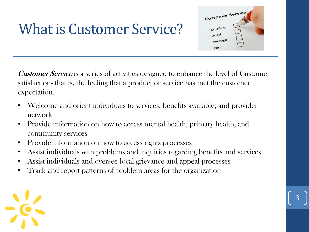### What is Customer Service?

Customer Service is a series of activities designed to enhance the level of Customer satisfaction- that is, the feeling that a product or service has met the customer expectation.

Customer Service

Average poor

- Welcome and orient individuals to services, benefits available, and provider network
- Provide information on how to access mental health, primary health, and community services
- Provide information on how to access rights processes
- Assist individuals with problems and inquiries regarding benefits and services

- Assist individuals and oversee local grievance and appeal processes
- Track and report patterns of problem areas for the organization

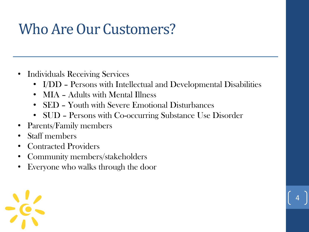### Who Are Our Customers?

- Individuals Receiving Services
	- I/DD Persons with Intellectual and Developmental Disabilities

- MIA Adults with Mental Illness
- SED Youth with Severe Emotional Disturbances
- SUD Persons with Co-occurring Substance Use Disorder
- Parents/Family members
- Staff members
- Contracted Providers
- Community members/stakeholders
- Everyone who walks through the door

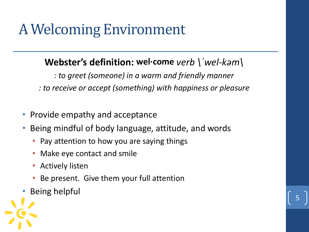### A Welcoming Environment

#### **Webster's definition: wel·come** *verb \ˈwel-kəm\*

*: to greet (someone) in a warm and friendly manner*

*: to receive or accept (something) with happiness or pleasure*

- Provide empathy and acceptance
- Being mindful of body language, attitude, and words
	- Pay attention to how you are saying things
	- Make eye contact and smile
	- Actively listen
	- Be present. Give them your full attention
- Being helpful

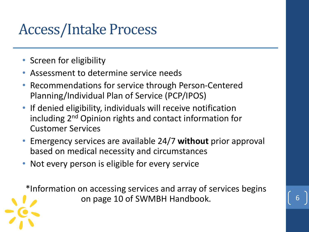#### Access/Intake Process

- Screen for eligibility
- Assessment to determine service needs
- Recommendations for service through Person-Centered Planning/Individual Plan of Service (PCP/IPOS)
- If denied eligibility, individuals will receive notification including 2nd Opinion rights and contact information for Customer Services
- Emergency services are available 24/7 **without** prior approval based on medical necessity and circumstances
- Not every person is eligible for every service

\*Information on accessing services and array of services begins on page 10 of SWMBH Handbook. 6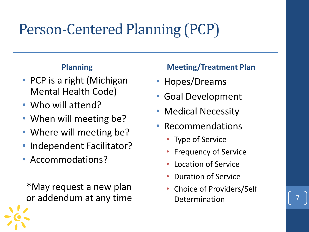### Person-Centered Planning (PCP)

#### **Planning**

- PCP is a right (Michigan Mental Health Code)
- Who will attend?
- When will meeting be?
- Where will meeting be?
- Independent Facilitator?
- Accommodations?

\*May request a new plan or addendum at any time

#### **Meeting/Treatment Plan**

- Hopes/Dreams
- Goal Development
- **Medical Necessity**
- Recommendations
	- Type of Service
	- Frequency of Service
	- Location of Service
	- Duration of Service
	- Choice of Providers/Self **Determination**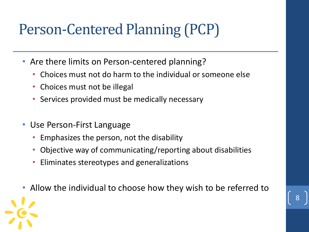### Person-Centered Planning (PCP)

- Are there limits on Person-centered planning?
	- Choices must not do harm to the individual or someone else
	- Choices must not be illegal
	- Services provided must be medically necessary
- Use Person-First Language
	- Emphasizes the person, not the disability
	- Objective way of communicating/reporting about disabilities
	- Eliminates stereotypes and generalizations
- Allow the individual to choose how they wish to be referred to

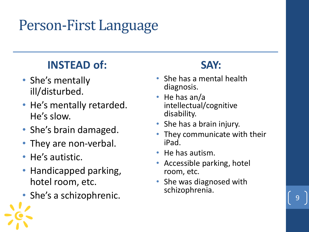### Person-First Language

#### **INSTEAD of:**

- She's mentally ill/disturbed.
- He's mentally retarded. He's slow.
- She's brain damaged.
- They are non-verbal.
- He's autistic.
- Handicapped parking, hotel room, etc.
- She's a schizophrenic.

#### **SAY:**

- She has a mental health diagnosis.
- He has an/a intellectual/cognitive disability.
- She has a brain injury.
- They communicate with their iPad.
- He has autism.
- Accessible parking, hotel room, etc.
- She was diagnosed with schizophrenia.

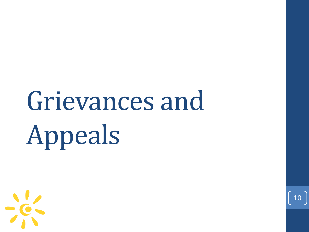# Grievances and Appeals

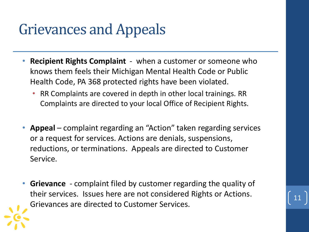### Grievances and Appeals

- **Recipient Rights Complaint**  when a customer or someone who knows them feels their Michigan Mental Health Code or Public Health Code, PA 368 protected rights have been violated.
	- RR Complaints are covered in depth in other local trainings. RR Complaints are directed to your local Office of Recipient Rights.
- **Appeal** complaint regarding an "Action" taken regarding services or a request for services. Actions are denials, suspensions, reductions, or terminations. Appeals are directed to Customer Service.
- **Grievance**  complaint filed by customer regarding the quality of their services. Issues here are not considered Rights or Actions. Grievances are directed to Customer Services.

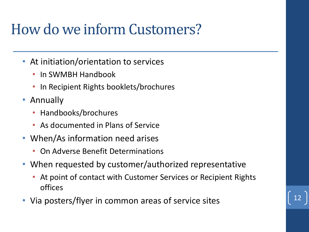### How do we inform Customers?

- At initiation/orientation to services
	- In SWMBH Handbook
	- In Recipient Rights booklets/brochures
- Annually
	- Handbooks/brochures
	- As documented in Plans of Service
- When/As information need arises
	- On Adverse Benefit Determinations
- When requested by customer/authorized representative
	- At point of contact with Customer Services or Recipient Rights offices
- Via posters/flyer in common areas of service sites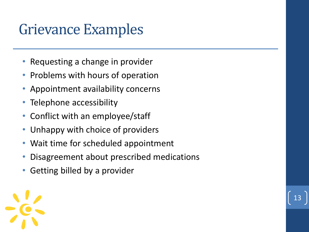#### Grievance Examples

- Requesting a change in provider
- Problems with hours of operation
- Appointment availability concerns
- Telephone accessibility
- Conflict with an employee/staff
- Unhappy with choice of providers
- Wait time for scheduled appointment
- Disagreement about prescribed medications
- Getting billed by a provider

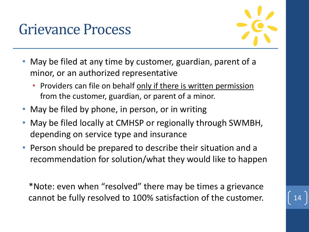#### Grievance Process



- May be filed at any time by customer, guardian, parent of a minor, or an authorized representative
	- Providers can file on behalf only if there is written permission from the customer, guardian, or parent of a minor.
- May be filed by phone, in person, or in writing
- May be filed locally at CMHSP or regionally through SWMBH, depending on service type and insurance
- Person should be prepared to describe their situation and a recommendation for solution/what they would like to happen

\*Note: even when "resolved" there may be times a grievance cannot be fully resolved to 100% satisfaction of the customer.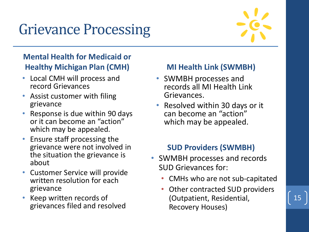### Grievance Processing



15

#### **Mental Health for Medicaid or Healthy Michigan Plan (CMH)**

- Local CMH will process and record Grievances
- Assist customer with filing grievance
- Response is due within 90 days or it can become an "action" which may be appealed.
- Ensure staff processing the grievance were not involved in the situation the grievance is about
- Customer Service will provide written resolution for each grievance
- Keep written records of grievances filed and resolved

#### **MI Health Link (SWMBH)**

- SWMBH processes and records all MI Health Link Grievances.
- Resolved within 30 days or it can become an "action" which may be appealed.

#### **SUD Providers (SWMBH)**

- SWMBH processes and records SUD Grievances for:
	- CMHs who are not sub-capitated
	- Other contracted SUD providers (Outpatient, Residential, Recovery Houses)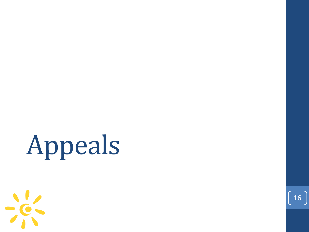# Appeals



 $\begin{bmatrix} 16 \end{bmatrix}$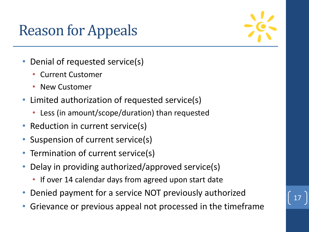### Reason for Appeals



- Denial of requested service(s)
	- Current Customer
	- New Customer
- Limited authorization of requested service(s)
	- Less (in amount/scope/duration) than requested
- Reduction in current service(s)
- Suspension of current service(s)
- Termination of current service(s)
- Delay in providing authorized/approved service(s)
	- If over 14 calendar days from agreed upon start date
- Denied payment for a service NOT previously authorized
- Grievance or previous appeal not processed in the timeframe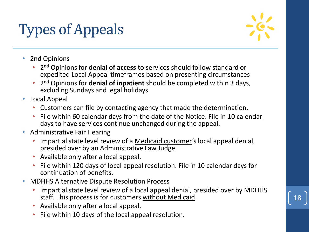# Types of Appeals



- 2nd Opinions
	- 2 nd Opinions for **denial of access** to services should follow standard or expedited Local Appeal timeframes based on presenting circumstances
	- 2 nd Opinions for **denial of inpatient** should be completed within 3 days, excluding Sundays and legal holidays
- Local Appeal
	- Customers can file by contacting agency that made the determination.
	- File within 60 calendar days from the date of the Notice. File in 10 calendar days to have services continue unchanged during the appeal.
- Administrative Fair Hearing
	- Impartial state level review of a Medicaid customer's local appeal denial, presided over by an Administrative Law Judge.
	- Available only after a local appeal.
	- File within 120 days of local appeal resolution. File in 10 calendar days for continuation of benefits.
- MDHHS Alternative Dispute Resolution Process
	- Impartial state level review of a local appeal denial, presided over by MDHHS staff. This process is for customers without Medicaid.
	- Available only after a local appeal.
	- File within 10 days of the local appeal resolution.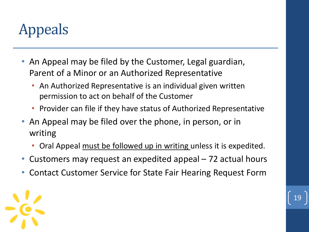# Appeals

- An Appeal may be filed by the Customer, Legal guardian, Parent of a Minor or an Authorized Representative
	- An Authorized Representative is an individual given written permission to act on behalf of the Customer
	- Provider can file if they have status of Authorized Representative
- An Appeal may be filed over the phone, in person, or in writing
	- Oral Appeal must be followed up in writing unless it is expedited.
- Customers may request an expedited appeal 72 actual hours
- Contact Customer Service for State Fair Hearing Request Form

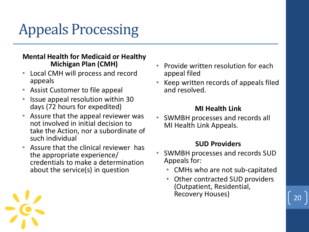# Appeals Processing

#### **Mental Health for Medicaid or Healthy Michigan Plan (CMH)**

- Local CMH will process and record appeals
- Assist Customer to file appeal
- Issue appeal resolution within 30 days (72 hours for expedited)
- Assure that the appeal reviewer was not involved in initial decision to take the Action, nor a subordinate of such individual
- Assure that the clinical reviewer has the appropriate experience/ credentials to make a determination about the service(s) in question
- Provide written resolution for each appeal filed
- Keep written records of appeals filed and resolved.

#### **MI Health Link**

• SWMBH processes and records all MI Health Link Appeals.

#### **SUD Providers**

- SWMBH processes and records SUD Appeals for:
	- CMHs who are not sub-capitated
	- Other contracted SUD providers (Outpatient, Residential, Recovery Houses)

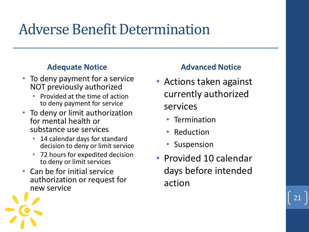#### Adverse Benefit Determination

#### **Adequate Notice**

- To deny payment for a service NOT previously authorized
	- Provided at the time of action to deny payment for service
- To deny or limit authorization for mental health or substance use services
	- 14 calendar days for standard decision to deny or limit service
	- 72 hours for expedited decision to deny or limit services
- Can be for initial service authorization or request for new service

#### **Advanced Notice**

- Actions taken against currently authorized services
	- Termination
	- **Reduction**
	- Suspension
- Provided 10 calendar days before intended action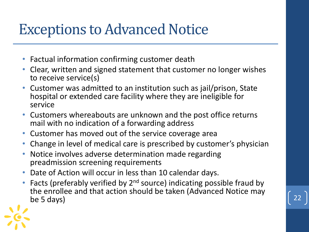#### Exceptions to Advanced Notice

- Factual information confirming customer death
- Clear, written and signed statement that customer no longer wishes to receive service(s)
- Customer was admitted to an institution such as jail/prison, State hospital or extended care facility where they are ineligible for service
- Customers whereabouts are unknown and the post office returns mail with no indication of a forwarding address
- Customer has moved out of the service coverage area
- Change in level of medical care is prescribed by customer's physician
- Notice involves adverse determination made regarding preadmission screening requirements
- Date of Action will occur in less than 10 calendar days.
- Facts (preferably verified by  $2^{nd}$  source) indicating possible fraud by the enrollee and that action should be taken (Advanced Notice may be 5 days) be 5 days)  $\begin{bmatrix} 22 \end{bmatrix}$

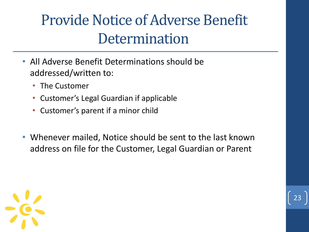### Provide Notice of Adverse Benefit **Determination**

- All Adverse Benefit Determinations should be addressed/written to:
	- The Customer
	- Customer's Legal Guardian if applicable
	- Customer's parent if a minor child
- Whenever mailed, Notice should be sent to the last known address on file for the Customer, Legal Guardian or Parent

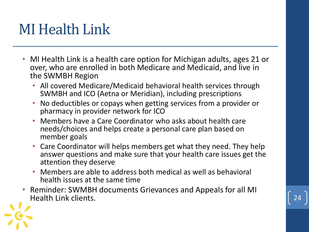#### MI Health Link

- MI Health Link is a health care option for Michigan adults, ages 21 or over, who are enrolled in both Medicare and Medicaid, and live in the SWMBH Region
	- All covered Medicare/Medicaid behavioral health services through SWMBH and ICO (Aetna or Meridian), including prescriptions
	- No deductibles or copays when getting services from a provider or pharmacy in provider network for ICO
	- Members have a Care Coordinator who asks about health care needs/choices and helps create a personal care plan based on member goals
	- Care Coordinator will helps members get what they need. They help answer questions and make sure that your health care issues get the attention they deserve
	- Members are able to address both medical as well as behavioral health issues at the same time
- Reminder: SWMBH documents Grievances and Appeals for all MI Health Link clients. 24



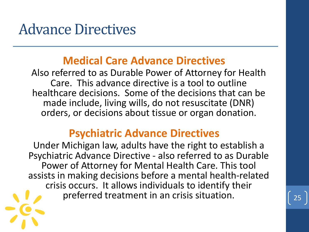#### Advance Directives

#### **Medical Care Advance Directives**

Also referred to as Durable Power of Attorney for Health Care. This advance directive is a tool to outline healthcare decisions. Some of the decisions that can be made include, living wills, do not resuscitate (DNR) orders, or decisions about tissue or organ donation.

#### **Psychiatric Advance Directives**

Under Michigan law, adults have the right to establish a Psychiatric Advance Directive - also referred to as Durable Power of Attorney for Mental Health Care. This tool assists in making decisions before a mental health-related crisis occurs. It allows individuals to identify their preferred treatment in an crisis situation.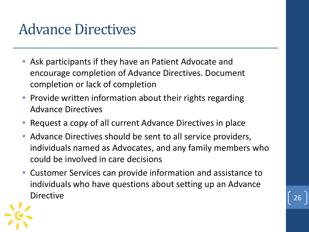#### Advance Directives

- Ask participants if they have an Patient Advocate and encourage completion of Advance Directives. Document completion or lack of completion
- Provide written information about their rights regarding Advance Directives
- Request a copy of all current Advance Directives in place
- Advance Directives should be sent to all service providers, individuals named as Advocates, and any family members who could be involved in care decisions
- Customer Services can provide information and assistance to individuals who have questions about setting up an Advance Directive  $\begin{bmatrix} 26 \end{bmatrix}$

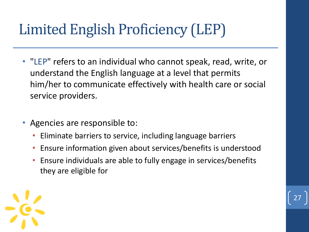### Limited English Proficiency (LEP)

- "LEP" refers to an individual who cannot speak, read, write, or understand the English language at a level that permits him/her to communicate effectively with health care or social service providers.
- Agencies are responsible to:
	- Eliminate barriers to service, including language barriers
	- Ensure information given about services/benefits is understood
	- Ensure individuals are able to fully engage in services/benefits they are eligible for

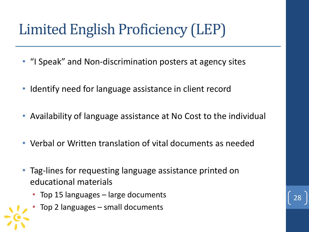### Limited English Proficiency (LEP)

- "I Speak" and Non-discrimination posters at agency sites
- Identify need for language assistance in client record
- Availability of language assistance at No Cost to the individual
- Verbal or Written translation of vital documents as needed
- Tag-lines for requesting language assistance printed on educational materials
	- Top 15 languages large documents
	- Top 2 languages small documents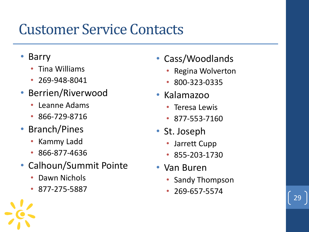### Customer Service Contacts

- **Barry** 
	- Tina Williams
	- 269-948-8041
- Berrien/Riverwood
	- Leanne Adams
	- 866-729-8716
- Branch/Pines
	- Kammy Ladd
	- 866-877-4636
- Calhoun/Summit Pointe
	- Dawn Nichols
	- 877-275-5887
- Cass/Woodlands
	- Regina Wolverton
	- 800-323-0335
- Kalamazoo
	- Teresa Lewis
	- 877-553-7160
- St. Joseph
	- Jarrett Cupp
	- 855-203-1730
- Van Buren
	- Sandy Thompson

29

• 269-657-5574

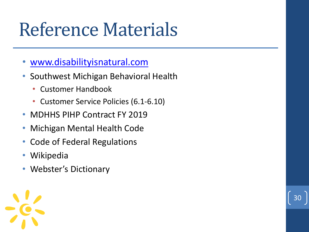# Reference Materials

- [www.disabilityisnatural.com](http://www.disabilityisnatural.com/)
- Southwest Michigan Behavioral Health
	- Customer Handbook
	- Customer Service Policies (6.1-6.10)

- MDHHS PIHP Contract FY 2019
- Michigan Mental Health Code
- Code of Federal Regulations
- Wikipedia
- Webster's Dictionary